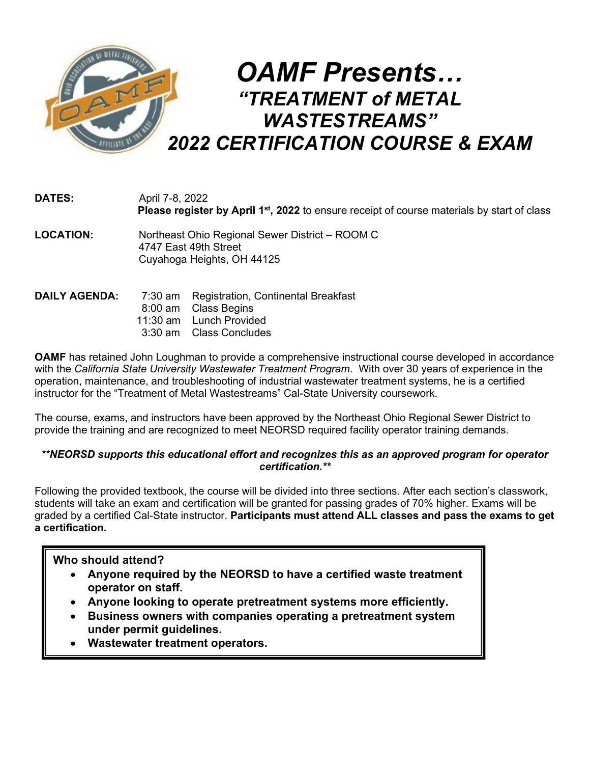

| <b>DATES:</b>        | April 7-8, 2022<br>Please register by April 1 <sup>st</sup> , 2022 to ensure receipt of course materials by start of class |  |  |  |
|----------------------|----------------------------------------------------------------------------------------------------------------------------|--|--|--|
| <b>LOCATION:</b>     | Northeast Ohio Regional Sewer District - ROOM C<br>4747 East 49th Street<br>Cuyahoga Heights, OH 44125                     |  |  |  |
| <b>DAILY AGENDA:</b> | <b>Registration, Continental Breakfast</b><br>7:30 am                                                                      |  |  |  |

|  | <b>DAILY AGENDA:</b> (1:30 am Registration, Continental Breakfast |
|--|-------------------------------------------------------------------|
|  | 8:00 am Class Begins                                              |
|  | 11:30 am Lunch Provided                                           |
|  | 3:30 am Class Concludes                                           |
|  |                                                                   |

**OAMF** has retained John Loughman to provide a comprehensive instructional course developed in accordance with the *California State University Wastewater Treatment Program*. With over 30 years of experience in the operation, maintenance, and troubleshooting of industrial wastewater treatment systems, he is a certified instructor for the "Treatment of Metal Wastestreams" Cal-State University coursework.

The course, exams, and instructors have been approved by the Northeast Ohio Regional Sewer District to provide the training and are recognized to meet NEORSD required facility operator training demands.

## *\*\*NEORSD supports this educational effort and recognizes this as an approved program for operator certification.\*\**

Following the provided textbook, the course will be divided into three sections. After each section's classwork, students will take an exam and certification will be granted for passing grades of 70% higher. Exams will be graded by a certified Cal-State instructor. **Participants must attend ALL classes and pass the exams to get a certification.**

## **Who should attend?**

- **Anyone required by the NEORSD to have a certified waste treatment operator on staff.**
- **Anyone looking to operate pretreatment systems more efficiently.**
- **Business owners with companies operating a pretreatment system under permit guidelines.**
- **Wastewater treatment operators.**